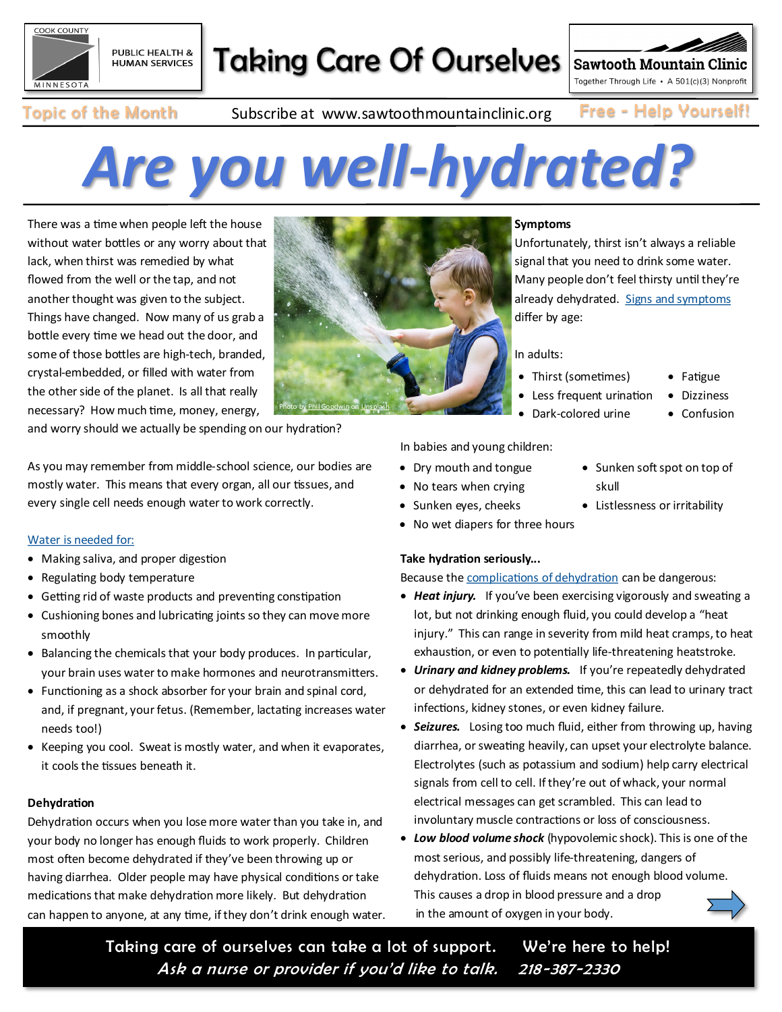

## Taking Care Of Ourselves

Together Through Life · A 501(c)(3) Nonprofit

**Sawtooth Mountain Clinic** 

Topic of the Month Subscribe at www.sawtoothmountainclinic.org Free - Help Yourself!

# *Are you well-hydrated?*

There was a time when people left the house without water bottles or any worry about that lack, when thirst was remedied by what flowed from the well or the tap, and not another thought was given to the subject. Things have changed. Now many of us grab a bottle every time we head out the door, and some of those bottles are high-tech, branded, crystal-embedded, or filled with water from the other side of the planet. Is all that really necessary? How much time, money, energy,



and worry should we actually be spending on our hydration?

As you may remember from middle-school science, our bodies are mostly water. This means that every organ, all our tissues, and every single cell needs enough water to work correctly.

#### [Water is needed for:](https://my.clevelandclinic.org/health/treatments/9013-dehydration)

- Making saliva, and proper digestion
- Regulating body temperature
- Getting rid of waste products and preventing constipation
- Cushioning bones and lubricating joints so they can move more smoothly
- Balancing the chemicals that your body produces. In particular, your brain uses water to make hormones and neurotransmitters.
- Functioning as a shock absorber for your brain and spinal cord, and, if pregnant, your fetus. (Remember, lactating increases water needs too!)
- Keeping you cool. Sweat is mostly water, and when it evaporates, it cools the tissues beneath it.

#### **Dehydration**

Dehydration occurs when you lose more water than you take in, and your body no longer has enough fluids to work properly. Children most often become dehydrated if they've been throwing up or having diarrhea. Older people may have physical conditions or take medications that make dehydration more likely. But dehydration can happen to anyone, at any time, if they don't drink enough water.

#### **Symptoms**

Unfortunately, thirst isn't always a reliable signal that you need to drink some water. Many people don't feel thirsty until they're already dehydrated. [Signs and symptoms](https://www.mayoclinic.org/diseases-conditions/dehydration/symptoms-causes/syc-20354086) differ by age:

In adults:

- Thirst (sometimes)
- Less frequent urination
- Dark-colored urine
- Fatigue
- 
- Dizziness
	- Confusion
- In babies and young children:
- Dry mouth and tongue
- No tears when crying
- Sunken eyes, cheeks
- No wet diapers for three hours

#### **Take hydration seriously...**

Because the [complications of dehydration](https://www.mayoclinic.org/diseases-conditions/dehydration/symptoms-causes/syc-20354086) can be dangerous:

- *Heat injury.* If you've been exercising vigorously and sweating a lot, but not drinking enough fluid, you could develop a "heat injury." This can range in severity from mild heat cramps, to heat exhaustion, or even to potentially life-threatening heatstroke.
- *Urinary and kidney problems.* If you're repeatedly dehydrated or dehydrated for an extended time, this can lead to urinary tract infections, kidney stones, or even kidney failure.
- *Seizures.* Losing too much fluid, either from throwing up, having diarrhea, or sweating heavily, can upset your electrolyte balance. Electrolytes (such as potassium and sodium) help carry electrical signals from cell to cell. If they're out of whack, your normal electrical messages can get scrambled. This can lead to involuntary muscle contractions or loss of consciousness.
- *Low blood volume shock* (hypovolemic shock). This is one of the most serious, and possibly life-threatening, dangers of dehydration. Loss of fluids means not enough blood volume. This causes a drop in blood pressure and a drop in the amount of oxygen in your body.

Taking care of ourselves can take a lot of support. We're here to help! Ask a nurse or provider if you'd like to talk. 218 -387-2330

- Sunken soft spot on top of skull
- Listlessness or irritability